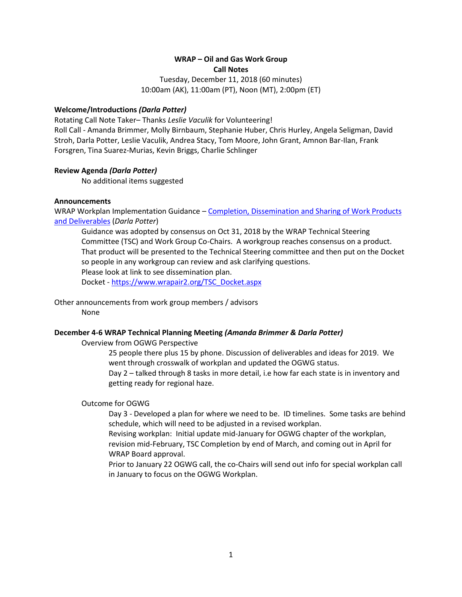# **WRAP – Oil and Gas Work Group Call Notes**

Tuesday, December 11, 2018 (60 minutes) 10:00am (AK), 11:00am (PT), Noon (MT), 2:00pm (ET)

## **Welcome/Introductions** *(Darla Potter)*

Rotating Call Note Taker– Thanks *Leslie Vaculik* for Volunteering! Roll Call - Amanda Brimmer, Molly Birnbaum, Stephanie Huber, Chris Hurley, Angela Seligman, David Stroh, Darla Potter, Leslie Vaculik, Andrea Stacy, Tom Moore, John Grant, Amnon Bar-Ilan, Frank Forsgren, Tina Suarez-Murias, Kevin Briggs, Charlie Schlinger

### **Review Agenda** *(Darla Potter)*

No additional items suggested

# **Announcements**

WRAP Workplan Implementation Guidance – [Completion, Dissemination and Sharing of Work Products](http://wrapair2.org/pdf/WorkGroupGuidanceInfoDissem%20Sharing_approved%20by%20consensus31Oct2018.pdf)  [and Deliverables](http://wrapair2.org/pdf/WorkGroupGuidanceInfoDissem%20Sharing_approved%20by%20consensus31Oct2018.pdf) (*Darla Potter*)

Guidance was adopted by consensus on Oct 31, 2018 by the WRAP Technical Steering Committee (TSC) and Work Group Co-Chairs. A workgroup reaches consensus on a product. That product will be presented to the Technical Steering committee and then put on the Docket so people in any workgroup can review and ask clarifying questions. Please look at link to see dissemination plan. Docket - [https://www.wrapair2.org/TSC\\_Docket.aspx](https://www.wrapair2.org/TSC_Docket.aspx)

Other announcements from work group members / advisors None

### **December 4-6 WRAP Technical Planning Meeting** *(Amanda Brimmer & Darla Potter)*

Overview from OGWG Perspective

25 people there plus 15 by phone. Discussion of deliverables and ideas for 2019. We went through crosswalk of workplan and updated the OGWG status.

Day 2 – talked through 8 tasks in more detail, i.e how far each state is in inventory and getting ready for regional haze.

### Outcome for OGWG

Day 3 - Developed a plan for where we need to be. ID timelines. Some tasks are behind schedule, which will need to be adjusted in a revised workplan.

Revising workplan: Initial update mid-January for OGWG chapter of the workplan, revision mid-February, TSC Completion by end of March, and coming out in April for WRAP Board approval.

Prior to January 22 OGWG call, the co-Chairs will send out info for special workplan call in January to focus on the OGWG Workplan.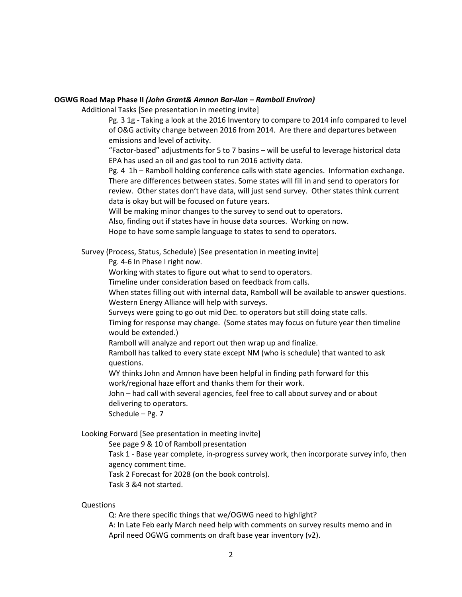#### **OGWG Road Map Phase II** *(John Grant& Amnon Bar-Ilan – Ramboll Environ)*

Additional Tasks [See presentation in meeting invite]

Pg. 3 1g - Taking a look at the 2016 Inventory to compare to 2014 info compared to level of O&G activity change between 2016 from 2014. Are there and departures between emissions and level of activity.

"Factor-based" adjustments for 5 to 7 basins – will be useful to leverage historical data EPA has used an oil and gas tool to run 2016 activity data.

Pg. 4 1h – Ramboll holding conference calls with state agencies. Information exchange. There are differences between states. Some states will fill in and send to operators for review. Other states don't have data, will just send survey. Other states think current data is okay but will be focused on future years.

Will be making minor changes to the survey to send out to operators.

Also, finding out if states have in house data sources. Working on now.

Hope to have some sample language to states to send to operators.

Survey (Process, Status, Schedule) [See presentation in meeting invite]

Pg. 4-6 In Phase I right now.

Working with states to figure out what to send to operators.

Timeline under consideration based on feedback from calls.

When states filling out with internal data, Ramboll will be available to answer questions. Western Energy Alliance will help with surveys.

Surveys were going to go out mid Dec. to operators but still doing state calls.

Timing for response may change. (Some states may focus on future year then timeline would be extended.)

Ramboll will analyze and report out then wrap up and finalize.

Ramboll has talked to every state except NM (who is schedule) that wanted to ask questions.

WY thinks John and Amnon have been helpful in finding path forward for this work/regional haze effort and thanks them for their work.

John – had call with several agencies, feel free to call about survey and or about delivering to operators.

Schedule – Pg. 7

Looking Forward [See presentation in meeting invite]

See page 9 & 10 of Ramboll presentation

Task 1 - Base year complete, in-progress survey work, then incorporate survey info, then agency comment time.

Task 2 Forecast for 2028 (on the book controls).

Task 3 &4 not started.

Questions

Q: Are there specific things that we/OGWG need to highlight?

A: In Late Feb early March need help with comments on survey results memo and in April need OGWG comments on draft base year inventory (v2).